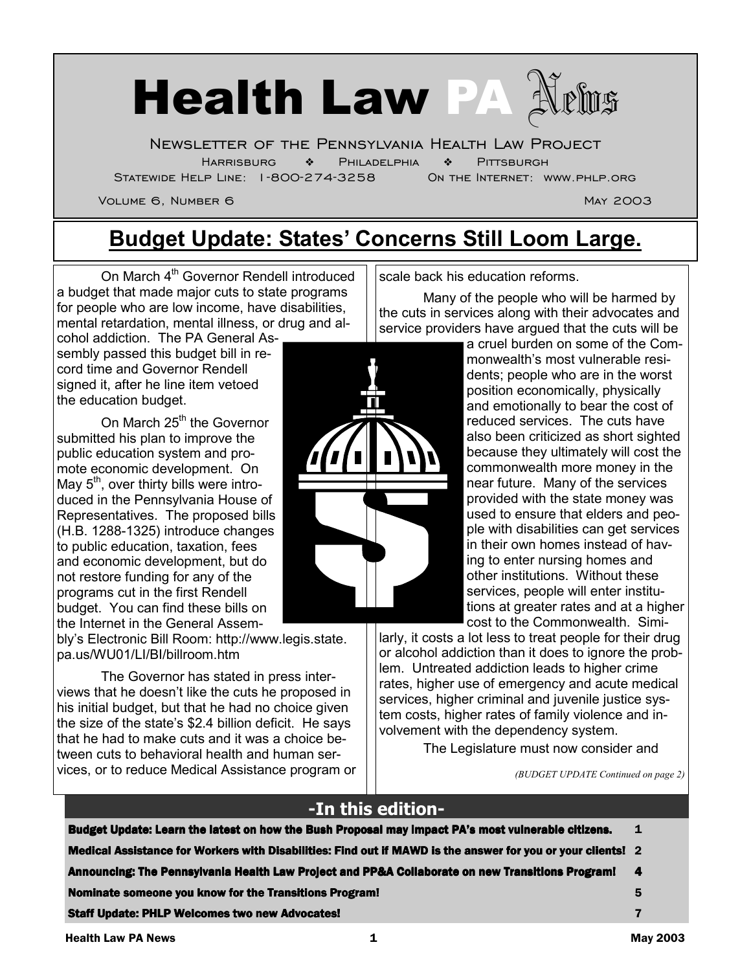

Newsletter of the Pennsylvania Health Law Project

Harrisburg ❖ Philadelphia ❖ Pittsburgh

Statewide Help Line: 1-800-274-3258 On the Internet: www.phlp.org

Volume 6, Number 6 May 2003 November 6 May 2003

### **Budget Update: States' Concerns Still Loom Large.**

On March 4<sup>th</sup> Governor Rendell introduced a budget that made major cuts to state programs for people who are low income, have disabilities, mental retardation, mental illness, or drug and al-

cohol addiction. The PA General Assembly passed this budget bill in record time and Governor Rendell signed it, after he line item vetoed the education budget.

On March 25<sup>th</sup> the Governor submitted his plan to improve the public education system and promote economic development. On May  $5<sup>th</sup>$ , over thirty bills were introduced in the Pennsylvania House of Representatives. The proposed bills (H.B. 1288-1325) introduce changes to public education, taxation, fees and economic development, but do not restore funding for any of the programs cut in the first Rendell budget. You can find these bills on the Internet in the General Assem-

bly's Electronic Bill Room: http://www.legis.state. pa.us/WU01/LI/BI/billroom.htm

 The Governor has stated in press interviews that he doesn't like the cuts he proposed in his initial budget, but that he had no choice given the size of the state's \$2.4 billion deficit. He says that he had to make cuts and it was a choice between cuts to behavioral health and human services, or to reduce Medical Assistance program or

scale back his education reforms.

 Many of the people who will be harmed by the cuts in services along with their advocates and service providers have argued that the cuts will be

a cruel burden on some of the Commonwealth's most vulnerable residents; people who are in the worst position economically, physically and emotionally to bear the cost of reduced services. The cuts have also been criticized as short sighted because they ultimately will cost the commonwealth more money in the near future. Many of the services provided with the state money was used to ensure that elders and people with disabilities can get services in their own homes instead of having to enter nursing homes and other institutions. Without these services, people will enter institutions at greater rates and at a higher cost to the Commonwealth. Simi-

larly, it costs a lot less to treat people for their drug or alcohol addiction than it does to ignore the problem. Untreated addiction leads to higher crime rates, higher use of emergency and acute medical services, higher criminal and juvenile justice system costs, higher rates of family violence and involvement with the dependency system.

The Legislature must now consider and

*(BUDGET UPDATE Continued on page 2)* 

#### **-In this edition-**

| Budget Update: Learn the latest on how the Bush Proposal may impact PA's most vulnerable citizens.          | 1 |
|-------------------------------------------------------------------------------------------------------------|---|
| Medical Assistance for Workers with Disabilities: Find out if MAWD is the answer for you or your clients! 2 |   |
| Announcing: The Pennsylvania Health Law Project and PP&A Collaborate on new Transitions Program! 4          |   |
| Nominate someone you know for the Transitions Program!                                                      | 5 |
| <b>Staff Update: PHLP Welcomes two new Advocates!</b>                                                       |   |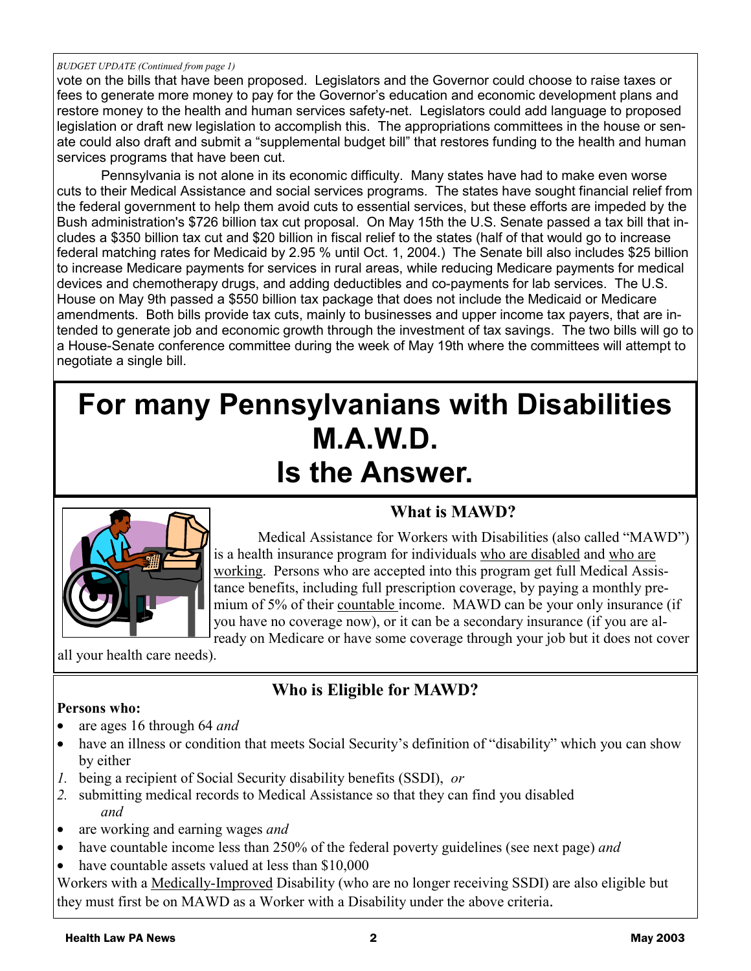#### *BUDGET UPDATE (Continued from page 1)*

vote on the bills that have been proposed. Legislators and the Governor could choose to raise taxes or fees to generate more money to pay for the Governor's education and economic development plans and restore money to the health and human services safety-net. Legislators could add language to proposed legislation or draft new legislation to accomplish this. The appropriations committees in the house or senate could also draft and submit a "supplemental budget bill" that restores funding to the health and human services programs that have been cut.

 Pennsylvania is not alone in its economic difficulty. Many states have had to make even worse cuts to their Medical Assistance and social services programs. The states have sought financial relief from the federal government to help them avoid cuts to essential services, but these efforts are impeded by the Bush administration's \$726 billion tax cut proposal. On May 15th the U.S. Senate passed a tax bill that includes a \$350 billion tax cut and \$20 billion in fiscal relief to the states (half of that would go to increase federal matching rates for Medicaid by 2.95 % until Oct. 1, 2004.) The Senate bill also includes \$25 billion to increase Medicare payments for services in rural areas, while reducing Medicare payments for medical devices and chemotherapy drugs, and adding deductibles and co-payments for lab services. The U.S. House on May 9th passed a \$550 billion tax package that does not include the Medicaid or Medicare amendments. Both bills provide tax cuts, mainly to businesses and upper income tax payers, that are intended to generate job and economic growth through the investment of tax savings. The two bills will go to a House-Senate conference committee during the week of May 19th where the committees will attempt to negotiate a single bill.

## **For many Pennsylvanians with Disabilities M.A.W.D. Is the Answer.**



 Medical Assistance for Workers with Disabilities (also called "MAWD") is a health insurance program for individuals who are disabled and who are working. Persons who are accepted into this program get full Medical Assistance benefits, including full prescription coverage, by paying a monthly premium of 5% of their countable income. MAWD can be your only insurance (if you have no coverage now), or it can be a secondary insurance (if you are al-

**What is MAWD?** 

ready on Medicare or have some coverage through your job but it does not cover

all your health care needs).

#### **Who is Eligible for MAWD?**

- **Persons who:**
- are ages 16 through 64 *and*
- have an illness or condition that meets Social Security's definition of "disability" which you can show by either
- *1.* being a recipient of Social Security disability benefits (SSDI), *or*
- *2.* submitting medical records to Medical Assistance so that they can find you disabled *and*
- are working and earning wages *and*
- have countable income less than 250% of the federal poverty guidelines (see next page) *and*
- have countable assets valued at less than \$10,000

Workers with a Medically-Improved Disability (who are no longer receiving SSDI) are also eligible but they must first be on MAWD as a Worker with a Disability under the above criteria.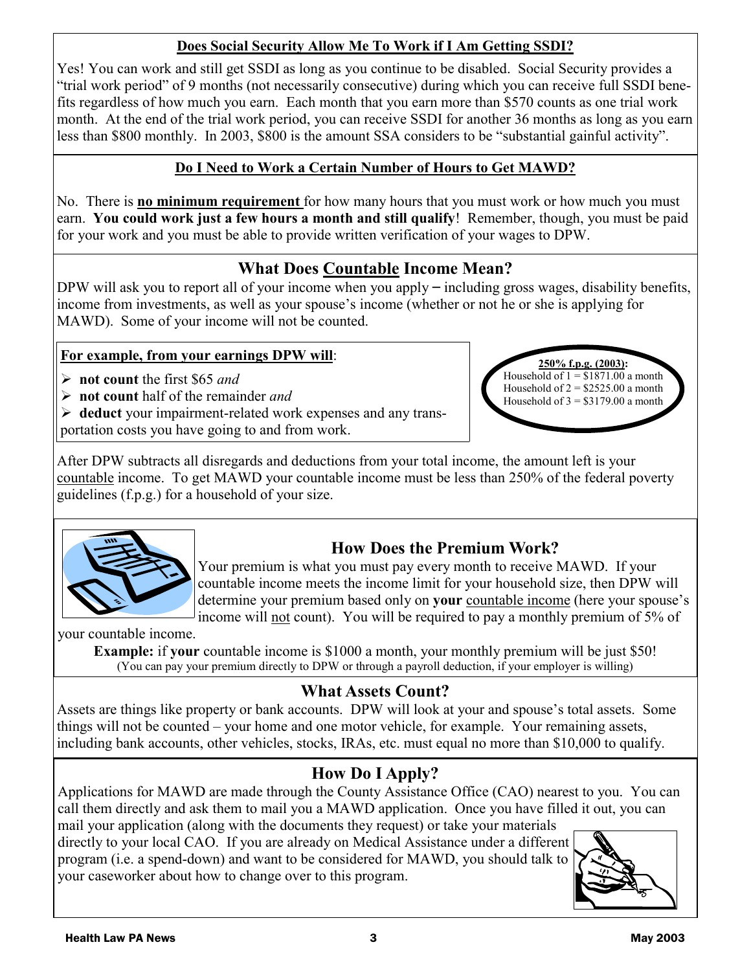#### **Does Social Security Allow Me To Work if I Am Getting SSDI?**

Yes! You can work and still get SSDI as long as you continue to be disabled. Social Security provides a "trial work period" of 9 months (not necessarily consecutive) during which you can receive full SSDI benefits regardless of how much you earn. Each month that you earn more than \$570 counts as one trial work month. At the end of the trial work period, you can receive SSDI for another 36 months as long as you earn less than \$800 monthly. In 2003, \$800 is the amount SSA considers to be "substantial gainful activity".

#### **Do I Need to Work a Certain Number of Hours to Get MAWD?**

No. There is **no minimum requirement** for how many hours that you must work or how much you must earn. **You could work just a few hours a month and still qualify**! Remember, though, you must be paid for your work and you must be able to provide written verification of your wages to DPW.

#### **What Does Countable Income Mean?**

DPW will ask you to report all of your income when you apply  $-$  including gross wages, disability benefits, income from investments, as well as your spouse's income (whether or not he or she is applying for MAWD). Some of your income will not be counted.

#### **For example, from your earnings DPW will**:

- **not count** the first \$65 *and*
- **not count** half of the remainder *and*
- **deduct** your impairment-related work expenses and any trans-

portation costs you have going to and from work.



After DPW subtracts all disregards and deductions from your total income, the amount left is your countable income. To get MAWD your countable income must be less than 250% of the federal poverty guidelines (f.p.g.) for a household of your size.



#### **How Does the Premium Work?**

Your premium is what you must pay every month to receive MAWD. If your countable income meets the income limit for your household size, then DPW will determine your premium based only on **your** countable income (here your spouse's income will not count). You will be required to pay a monthly premium of 5% of

your countable income.

**Example:** if **your** countable income is \$1000 a month, your monthly premium will be just \$50! (You can pay your premium directly to DPW or through a payroll deduction, if your employer is willing)

#### **What Assets Count?**

Assets are things like property or bank accounts. DPW will look at your and spouse's total assets. Some things will not be counted – your home and one motor vehicle, for example. Your remaining assets, including bank accounts, other vehicles, stocks, IRAs, etc. must equal no more than \$10,000 to qualify.

#### **How Do I Apply?**

Applications for MAWD are made through the County Assistance Office (CAO) nearest to you. You can call them directly and ask them to mail you a MAWD application. Once you have filled it out, you can mail your application (along with the documents they request) or take your materials

directly to your local CAO. If you are already on Medical Assistance under a different program (i.e. a spend-down) and want to be considered for MAWD, you should talk to your caseworker about how to change over to this program.

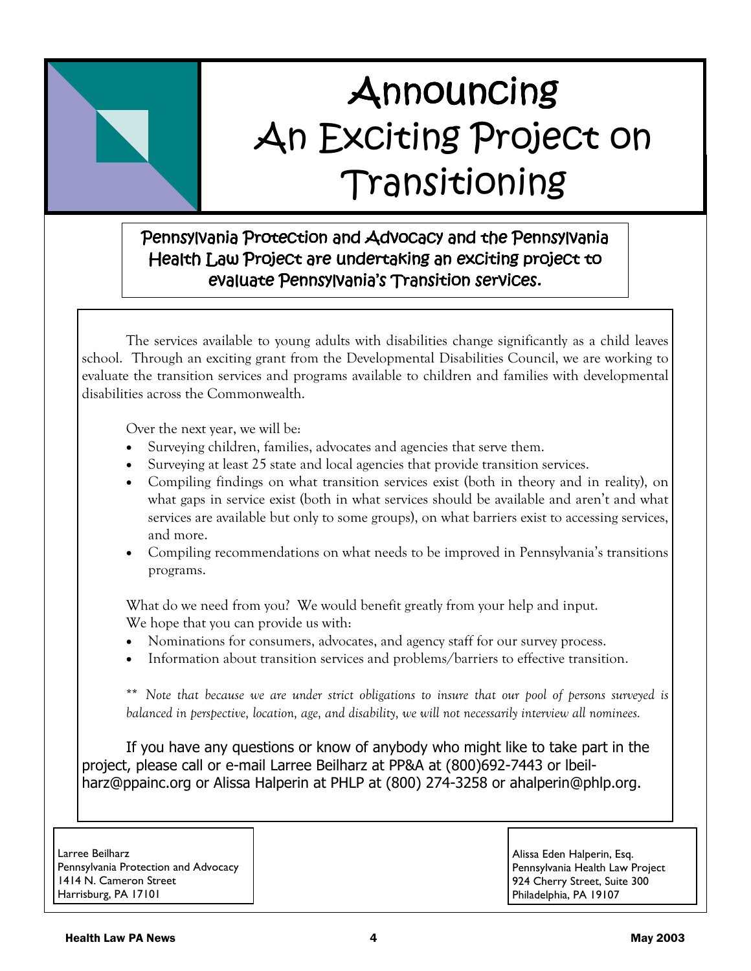# **Announcing** An Exciting Project on Transitioning

#### Pennsylvania Protection and Advocacy and the Pennsylvania Health Law Project are undertaking an exciting project to evaluate Pennsylvania's Transition services.

The services available to young adults with disabilities change significantly as a child leaves school. Through an exciting grant from the Developmental Disabilities Council, we are working to evaluate the transition services and programs available to children and families with developmental disabilities across the Commonwealth.

Over the next year, we will be:

- Surveying children, families, advocates and agencies that serve them.
- Surveying at least 25 state and local agencies that provide transition services.
- Compiling findings on what transition services exist (both in theory and in reality), on what gaps in service exist (both in what services should be available and aren't and what services are available but only to some groups), on what barriers exist to accessing services, and more.
- Compiling recommendations on what needs to be improved in Pennsylvania's transitions programs.

What do we need from you? We would benefit greatly from your help and input. We hope that you can provide us with:

- Nominations for consumers, advocates, and agency staff for our survey process.
- Information about transition services and problems/barriers to effective transition.

\*\* *Note that because we are under strict obligations to insure that our pool of persons surveyed is balanced in perspective, location, age, and disability, we will not necessarily interview all nominees.* 

If you have any questions or know of anybody who might like to take part in the project, please call or e-mail Larree Beilharz at PP&A at (800)692-7443 or lbeilharz@ppainc.org or Alissa Halperin at PHLP at (800) 274-3258 or ahalperin@phlp.org.

Larree Beilharz Pennsylvania Protection and Advocacy 1414 N. Cameron Street Harrisburg, PA 17101

Alissa Eden Halperin, Esq. Pennsylvania Health Law Project 924 Cherry Street, Suite 300 Philadelphia, PA 19107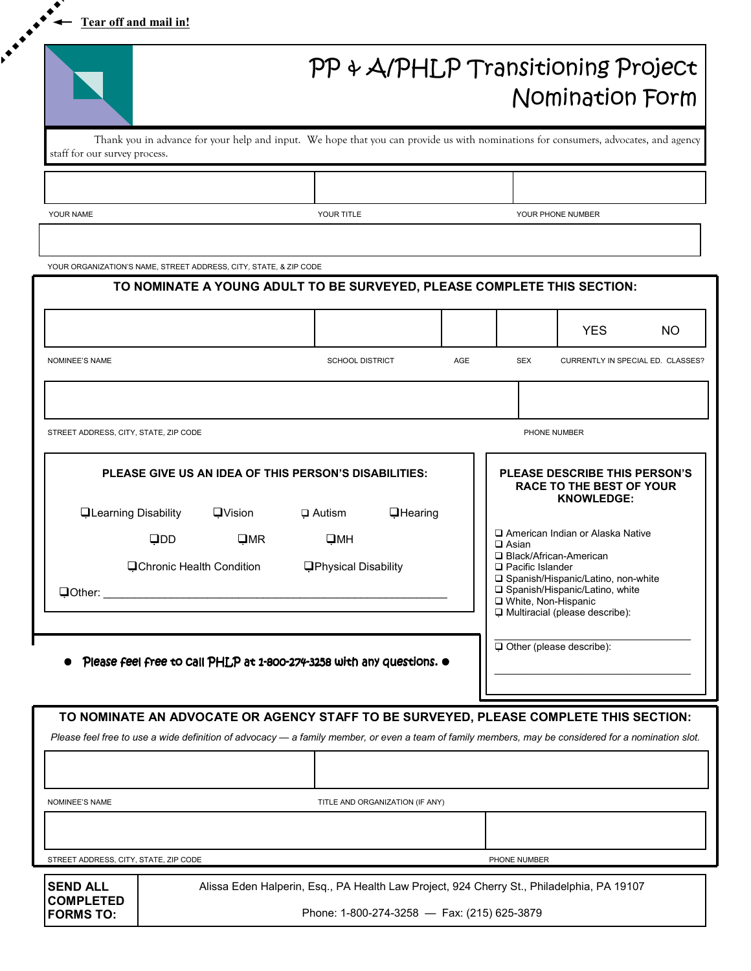**Tear off and mail in!**

**Printing Company** 

 $\bullet$ 

|                                                                   |                                                                                                                                     | PP & A/PHLP Transitioning Project<br>Nomination Form |            |                                   |    |  |  |  |
|-------------------------------------------------------------------|-------------------------------------------------------------------------------------------------------------------------------------|------------------------------------------------------|------------|-----------------------------------|----|--|--|--|
| staff for our survey process.                                     | Thank you in advance for your help and input. We hope that you can provide us with nominations for consumers, advocates, and agency |                                                      |            |                                   |    |  |  |  |
|                                                                   |                                                                                                                                     |                                                      |            |                                   |    |  |  |  |
| YOUR NAME                                                         | YOUR TITLE                                                                                                                          | YOUR PHONE NUMBER                                    |            |                                   |    |  |  |  |
|                                                                   |                                                                                                                                     |                                                      |            |                                   |    |  |  |  |
| YOUR ORGANIZATION'S NAME, STREET ADDRESS, CITY, STATE, & ZIP CODE |                                                                                                                                     |                                                      |            |                                   |    |  |  |  |
|                                                                   | TO NOMINATE A YOUNG ADULT TO BE SURVEYED, PLEASE COMPLETE THIS SECTION:                                                             |                                                      |            |                                   |    |  |  |  |
|                                                                   |                                                                                                                                     |                                                      |            | <b>YES</b>                        | NO |  |  |  |
| <b>NOMINEE'S NAME</b>                                             | <b>SCHOOL DISTRICT</b>                                                                                                              | AGE                                                  | <b>SEX</b> | CURRENTLY IN SPECIAL ED. CLASSES? |    |  |  |  |
|                                                                   |                                                                                                                                     |                                                      |            |                                   |    |  |  |  |

| TO NOMINATE A YOUNG ADULT TO BE SURVEYED, PLEASE COMPLETE THIS SECTION:                                    |                                                                                     |     |                                                                                       |                                                                                                              |     |
|------------------------------------------------------------------------------------------------------------|-------------------------------------------------------------------------------------|-----|---------------------------------------------------------------------------------------|--------------------------------------------------------------------------------------------------------------|-----|
|                                                                                                            |                                                                                     |     |                                                                                       | <b>YES</b>                                                                                                   | NO. |
| <b>NOMINEE'S NAME</b>                                                                                      | <b>SCHOOL DISTRICT</b>                                                              | AGE | <b>SEX</b>                                                                            | CURRENTLY IN SPECIAL ED. CLASSES?                                                                            |     |
|                                                                                                            |                                                                                     |     |                                                                                       |                                                                                                              |     |
| STREET ADDRESS, CITY, STATE, ZIP CODE                                                                      |                                                                                     |     |                                                                                       | PHONE NUMBER                                                                                                 |     |
| PLEASE GIVE US AN IDEA OF THIS PERSON'S DISABILITIES:                                                      |                                                                                     |     | PLEASE DESCRIBE THIS PERSON'S<br><b>RACE TO THE BEST OF YOUR</b><br><b>KNOWLEDGE:</b> |                                                                                                              |     |
| <b>QLearning Disability</b><br>$\square$ Vision<br>QDD<br>$\square$ MR<br><b>QChronic Health Condition</b> | <b><i><u>Hearing</u></i></b><br>$\Box$ Autism<br>QMH<br><b>OPhysical Disability</b> |     | $\Box$ Asian<br>□ Black/African-American<br>$\Box$ Pacific Islander                   | American Indian or Alaska Native                                                                             |     |
|                                                                                                            |                                                                                     |     | □ White, Non-Hispanic                                                                 | □ Spanish/Hispanic/Latino, non-white<br>□ Spanish/Hispanic/Latino, white<br>U Multiracial (please describe): |     |
| Please feel free to Call PHLP at 1-800-274-3258 with any questions. $\bullet$                              |                                                                                     |     |                                                                                       | Other (please describe):                                                                                     |     |
| TO NOMINATE AN ADVOCATE OR AGENCY STAFF TO BE SURVEYED, PLEASE COMPLETE THIS SECTION:                      |                                                                                     |     |                                                                                       |                                                                                                              |     |

*Please feel free to use a wide definition of advocacy — a family member, or even a team of family members, may be considered for a nomination slot.* 

NOMINEE'S NAME TITLE AND ORGANIZATION (IF ANY) STREET ADDRESS, CITY, STATE, ZIP CODE **PHONE NUMBER PHONE NUMBER** 

**SEND ALL COMPLETED FORMS TO:** 

Alissa Eden Halperin, Esq., PA Health Law Project, 924 Cherry St., Philadelphia, PA 19107

Phone: 1-800-274-3258 — Fax: (215) 625-3879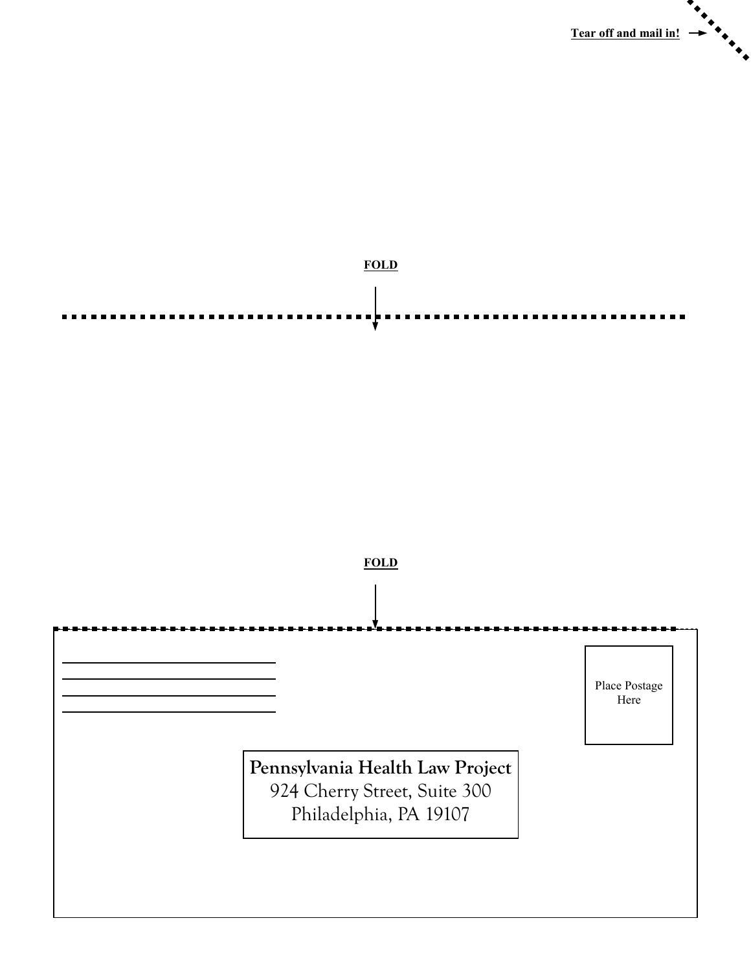



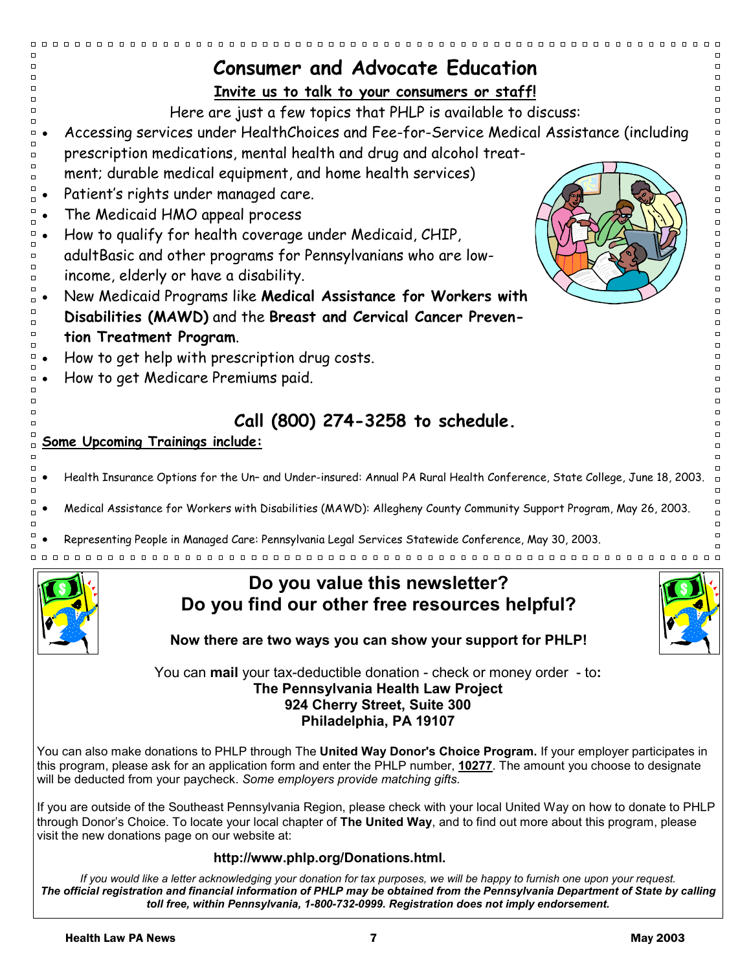| <b>Consumer and Advocate Education</b>                                                                                                                                                                                                                                                                                                                      |  |  |  |  |  |  |  |
|-------------------------------------------------------------------------------------------------------------------------------------------------------------------------------------------------------------------------------------------------------------------------------------------------------------------------------------------------------------|--|--|--|--|--|--|--|
| Invite us to talk to your consumers or staff!                                                                                                                                                                                                                                                                                                               |  |  |  |  |  |  |  |
| Here are just a few topics that PHLP is available to discuss:                                                                                                                                                                                                                                                                                               |  |  |  |  |  |  |  |
| $\Box$<br>Accessing services under HealthChoices and Fee-for-Service Medical Assistance (including                                                                                                                                                                                                                                                          |  |  |  |  |  |  |  |
| prescription medications, mental health and drug and alcohol treat-<br>$\Box$                                                                                                                                                                                                                                                                               |  |  |  |  |  |  |  |
| $\Box$<br>ment; durable medical equipment, and home health services)                                                                                                                                                                                                                                                                                        |  |  |  |  |  |  |  |
| Patient's rights under managed care.                                                                                                                                                                                                                                                                                                                        |  |  |  |  |  |  |  |
| The Medicaid HMO appeal process                                                                                                                                                                                                                                                                                                                             |  |  |  |  |  |  |  |
| How to qualify for health coverage under Medicaid, CHIP,                                                                                                                                                                                                                                                                                                    |  |  |  |  |  |  |  |
| adultBasic and other programs for Pennsylvanians who are low-<br>$\Box$                                                                                                                                                                                                                                                                                     |  |  |  |  |  |  |  |
| $\Box$<br>income, elderly or have a disability.                                                                                                                                                                                                                                                                                                             |  |  |  |  |  |  |  |
| New Medicaid Programs like Medical Assistance for Workers with                                                                                                                                                                                                                                                                                              |  |  |  |  |  |  |  |
| Disabilities (MAWD) and the Breast and Cervical Cancer Preven-                                                                                                                                                                                                                                                                                              |  |  |  |  |  |  |  |
| tion Treatment Program.                                                                                                                                                                                                                                                                                                                                     |  |  |  |  |  |  |  |
| How to get help with prescription drug costs.<br>□                                                                                                                                                                                                                                                                                                          |  |  |  |  |  |  |  |
| How to get Medicare Premiums paid.                                                                                                                                                                                                                                                                                                                          |  |  |  |  |  |  |  |
| п                                                                                                                                                                                                                                                                                                                                                           |  |  |  |  |  |  |  |
| $\Box$<br>Call (800) 274-3258 to schedule.<br>$\Box$                                                                                                                                                                                                                                                                                                        |  |  |  |  |  |  |  |
| α<br><b>Some Upcoming Trainings include:</b><br>$\Box$                                                                                                                                                                                                                                                                                                      |  |  |  |  |  |  |  |
|                                                                                                                                                                                                                                                                                                                                                             |  |  |  |  |  |  |  |
| Health Insurance Options for the Un- and Under-insured: Annual PA Rural Health Conference, State College, June 18, 2003.                                                                                                                                                                                                                                    |  |  |  |  |  |  |  |
| Medical Assistance for Workers with Disabilities (MAWD): Allegheny County Community Support Program, May 26, 2003.                                                                                                                                                                                                                                          |  |  |  |  |  |  |  |
| , Representing People in Managed Care: Pennsylvania Legal Services Statewide Conference, May 30, 2003                                                                                                                                                                                                                                                       |  |  |  |  |  |  |  |
|                                                                                                                                                                                                                                                                                                                                                             |  |  |  |  |  |  |  |
| Do you value this newsletter?                                                                                                                                                                                                                                                                                                                               |  |  |  |  |  |  |  |
| Do you find our other free resources helpful?                                                                                                                                                                                                                                                                                                               |  |  |  |  |  |  |  |
|                                                                                                                                                                                                                                                                                                                                                             |  |  |  |  |  |  |  |
| Now there are two ways you can show your support for PHLP!                                                                                                                                                                                                                                                                                                  |  |  |  |  |  |  |  |
| You can mail your tax-deductible donation - check or money order - to:                                                                                                                                                                                                                                                                                      |  |  |  |  |  |  |  |
| The Pennsylvania Health Law Project                                                                                                                                                                                                                                                                                                                         |  |  |  |  |  |  |  |
| 924 Cherry Street, Suite 300<br>Philadelphia, PA 19107                                                                                                                                                                                                                                                                                                      |  |  |  |  |  |  |  |
|                                                                                                                                                                                                                                                                                                                                                             |  |  |  |  |  |  |  |
| You can also make donations to PHLP through The United Way Donor's Choice Program. If your employer participates in<br>this program, please ask for an application form and enter the PHLP number, 10277. The amount you choose to designate                                                                                                                |  |  |  |  |  |  |  |
| will be deducted from your paycheck. Some employers provide matching gifts.                                                                                                                                                                                                                                                                                 |  |  |  |  |  |  |  |
| If you are outside of the Southeast Pennsylvania Region, please check with your local United Way on how to donate to PHLP                                                                                                                                                                                                                                   |  |  |  |  |  |  |  |
| through Donor's Choice. To locate your local chapter of The United Way, and to find out more about this program, please                                                                                                                                                                                                                                     |  |  |  |  |  |  |  |
| visit the new donations page on our website at:                                                                                                                                                                                                                                                                                                             |  |  |  |  |  |  |  |
| http://www.phlp.org/Donations.html.                                                                                                                                                                                                                                                                                                                         |  |  |  |  |  |  |  |
| If you would like a letter acknowledging your donation for tax purposes, we will be happy to furnish one upon your request.<br>The official registration and financial information of PHLP may be obtained from the Pennsylvania Department of State by calling<br>toll free, within Pennsylvania, 1-800-732-0999. Registration does not imply endorsement. |  |  |  |  |  |  |  |